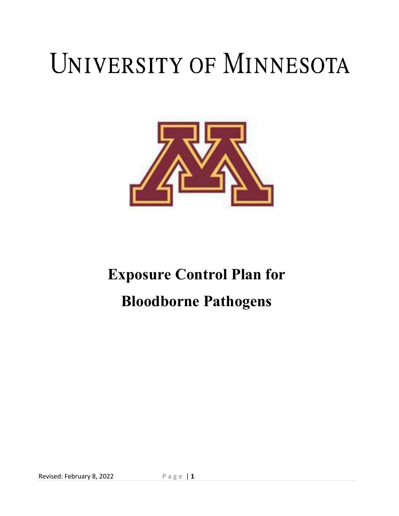# UNIVERSITY OF MINNESOTA



# **Exposure Control Plan for Bloodborne Pathogens**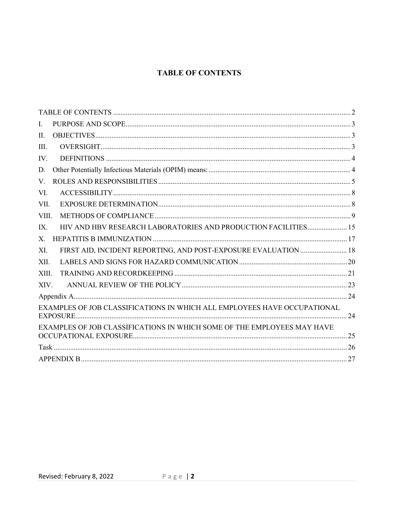# **TABLE OF CONTENTS**

<span id="page-1-0"></span>

| I.                                                                       |  |
|--------------------------------------------------------------------------|--|
| $\Pi$ .                                                                  |  |
| III.                                                                     |  |
| IV.                                                                      |  |
| D.                                                                       |  |
| V.                                                                       |  |
| VI.                                                                      |  |
| VII.                                                                     |  |
| VIII.                                                                    |  |
| HIV AND HBV RESEARCH LABORATORIES AND PRODUCTION FACILITIES 15<br>IX.    |  |
| X.                                                                       |  |
| FIRST AID, INCIDENT REPORTING, AND POST-EXPOSURE EVALUATION  18<br>XI.   |  |
| XII.                                                                     |  |
| XIII.                                                                    |  |
| XIV.                                                                     |  |
|                                                                          |  |
| EXAMPLES OF JOB CLASSIFICATIONS IN WHICH ALL EMPLOYEES HAVE OCCUPATIONAL |  |
| EXAMPLES OF JOB CLASSIFICATIONS IN WHICH SOME OF THE EMPLOYEES MAY HAVE  |  |
|                                                                          |  |
|                                                                          |  |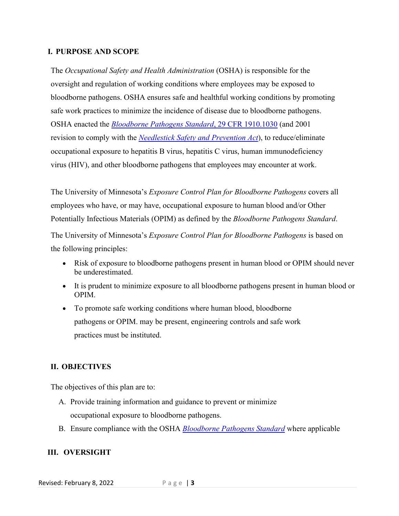#### <span id="page-2-0"></span>**I. PURPOSE AND SCOPE**

The *Occupational Safety and Health Administration* (OSHA) is responsible for the oversight and regulation of working conditions where employees may be exposed to bloodborne pathogens. OSHA ensures safe and healthful working conditions by promoting safe work practices to minimize the incidence of disease due to bloodborne pathogens. OSHA enacted the *[Bloodborne Pathogens](https://www.osha.gov/laws-regs/regulations/standardnumber/1910/1910.1030) Standard*, 29 CFR 1910.1030 (and 2001 revision to comply with the *[Needlestick Safety and Prevention Act](https://www.cdc.gov/sharpssafety/pdf/Neelestick%20Saftety%20and%20Prevention%20Act.pdf)*), to reduce/eliminate occupational exposure to hepatitis B virus, hepatitis C virus, human immunodeficiency virus (HIV), and other bloodborne pathogens that employees may encounter at work.

The University of Minnesota's *Exposure Control Plan for Bloodborne Pathogens* covers all employees who have, or may have, occupational exposure to human blood and/or Other Potentially Infectious Materials (OPIM) as defined by the *Bloodborne Pathogens Standard*.

The University of Minnesota's *Exposure Control Plan for Bloodborne Pathogens* is based on the following principles:

- Risk of exposure to bloodborne pathogens present in human blood or OPIM should never be underestimated.
- It is prudent to minimize exposure to all bloodborne pathogens present in human blood or OPIM.
- To promote safe working conditions where human blood, bloodborne pathogens or OPIM. may be present, engineering controls and safe work practices must be instituted.

#### <span id="page-2-1"></span>**II. OBJECTIVES**

The objectives of this plan are to:

- A. Provide training information and guidance to prevent or minimize occupational exposure to bloodborne pathogens.
- B. Ensure compliance with the OSHA *[Bloodborne Pathogens](https://www.osha.gov/laws-regs/regulations/standardnumber/1910/1910.1030) Standard* where applicable

#### <span id="page-2-2"></span>**III. OVERSIGHT**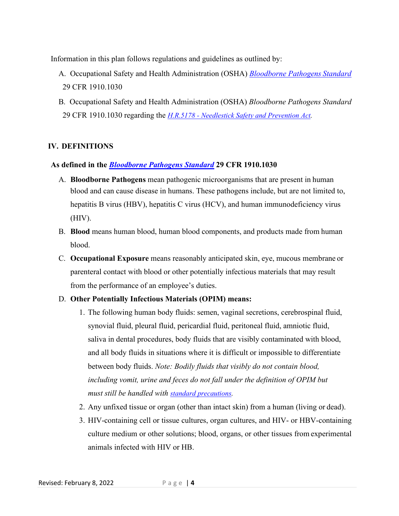Information in this plan follows regulations and guidelines as outlined by:

- A. Occupational Safety and Health Administration (OSHA) *[Bloodborne Pathogens](https://www.osha.gov/laws-regs/regulations/standardnumber/1910/1910.1030) Standard* 29 CFR 1910.1030
- B. Occupational Safety and Health Administration (OSHA) *Bloodborne Pathogens Standard*  29 CFR 1910.1030 regarding the *H.R.5178 - [Needlestick Safety and Prevention Act.](https://www.congress.gov/bill/106th-congress/house-bill/5178/text/pl)*

## <span id="page-3-0"></span>**IV. DEFINITIONS**

#### **As defined in the** *[Bloodborne Pathogens](https://www.osha.gov/laws-regs/regulations/standardnumber/1910/1910.1030) Standard* **29 CFR 1910.1030**

- A. **Bloodborne Pathogens** mean pathogenic microorganisms that are present in human blood and can cause disease in humans. These pathogens include, but are not limited to, hepatitis B virus (HBV), hepatitis C virus (HCV), and human immunodeficiency virus (HIV).
- B. **Blood** means human blood, human blood components, and products made from human blood.
- C. **Occupational Exposure** means reasonably anticipated skin, eye, mucous membrane or parenteral contact with blood or other potentially infectious materials that may result from the performance of an employee's duties.

#### <span id="page-3-1"></span>D. **Other Potentially Infectious Materials (OPIM) means:**

- 1. The following human body fluids: semen, vaginal secretions, cerebrospinal fluid, synovial fluid, pleural fluid, pericardial fluid, peritoneal fluid, amniotic fluid, saliva in dental procedures, body fluids that are visibly contaminated with blood, and all body fluids in situations where it is difficult or impossible to differentiate between body fluids. *Note: Bodily fluids that visibly do not contain blood, including vomit, urine and feces do not fall under the definition of OPIM but must still be handled with [standard precautions.](https://www.osha.gov/bloodborne-pathogens/worker-protections)*
- 2. Any unfixed tissue or organ (other than intact skin) from a human (living or dead).
- 3. HIV-containing cell or tissue cultures, organ cultures, and HIV- or HBV-containing culture medium or other solutions; blood, organs, or other tissues from experimental animals infected with HIV or HB.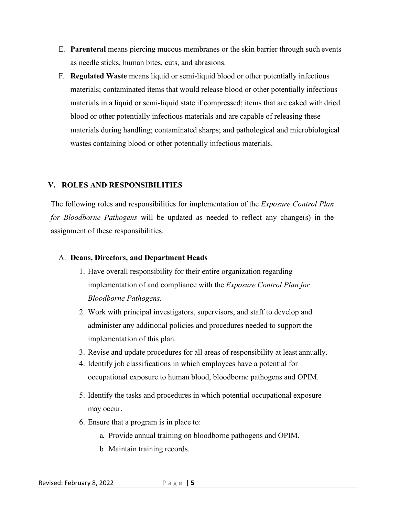- E. **Parenteral** means piercing mucous membranes or the skin barrier through such events as needle sticks, human bites, cuts, and abrasions.
- F. **Regulated Waste** means liquid or semi-liquid blood or other potentially infectious materials; contaminated items that would release blood or other potentially infectious materials in a liquid or semi-liquid state if compressed; items that are caked with dried blood or other potentially infectious materials and are capable of releasing these materials during handling; contaminated sharps; and pathological and microbiological wastes containing blood or other potentially infectious materials.

#### <span id="page-4-0"></span>**V. ROLES AND RESPONSIBILITIES**

The following roles and responsibilities for implementation of the *Exposure Control Plan for Bloodborne Pathogens* will be updated as needed to reflect any change(s) in the assignment of these responsibilities.

#### A. **Deans, Directors, and Department Heads**

- 1. Have overall responsibility for their entire organization regarding implementation of and compliance with the *Exposure Control Plan for Bloodborne Pathogens.*
- 2. Work with principal investigators, supervisors, and staff to develop and administer any additional policies and procedures needed to support the implementation of this plan.
- 3. Revise and update procedures for all areas of responsibility at least annually.
- 4. Identify job classifications in which employees have a potential for occupational exposure to human blood, bloodborne pathogens and OPIM.
- 5. Identify the tasks and procedures in which potential occupational exposure may occur.
- 6. Ensure that a program is in place to:
	- a. Provide annual training on bloodborne pathogens and OPIM.
	- b. Maintain training records.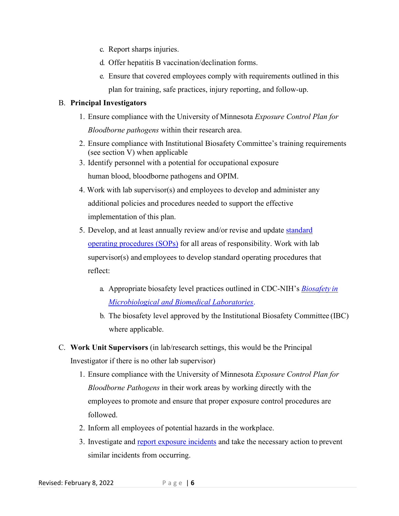- c. Report sharps injuries.
- d. Offer hepatitis B vaccination/declination forms.
- e. Ensure that covered employees comply with requirements outlined in this plan for training, safe practices, injury reporting, and follow-up.

#### B. **Principal Investigators**

- 1. Ensure compliance with the University of Minnesota *Exposure Control Plan for Bloodborne pathogens* within their research area.
- 2. Ensure compliance with Institutional Biosafety Committee's training requirements (see section V) when applicable
- 3. Identify personnel with a potential for occupational exposure human blood, bloodborne pathogens and OPIM.
- 4. Work with lab supervisor(s) and employees to develop and administer any additional policies and procedures needed to support the effective implementation of this plan.
- 5. Develop, and at least annually review and/or revise and update [standard](https://bohd.umn.edu/writing-standard-operating-procedure-sop)  [operating procedures \(SOPs\)](https://bohd.umn.edu/writing-standard-operating-procedure-sop) for all areas of responsibility. Work with lab supervisor(s) and employees to develop standard operating procedures that reflect:
	- a. Appropriate biosafety level practices outlined in CDC-NIH's *[Biosafety](http://www.cdc.gov/biosafety/publications/bmbl5/index.htm) i[n](http://www.cdc.gov/biosafety/publications/bmbl5/index.htm) [Microbiological and Biomedical](http://www.cdc.gov/biosafety/publications/bmbl5/index.htm) Laboratories*.
	- b. The biosafety level approved by the Institutional Biosafety Committee (IBC) where applicable.

# C. **Work Unit Supervisors** (in lab/research settings, this would be the Principal Investigator if there is no other lab supervisor)

- 1. Ensure compliance with the University of Minnesota *Exposure Control Plan for Bloodborne Pathogens* in their work areas by working directly with the employees to promote and ensure that proper exposure control procedures are followed.
- 2. Inform all employees of potential hazards in the workplace.
- 3. Investigate and [report exposure incidents](https://it.umn.edu/services-technologies/first-report-injury-efroi) and take the necessary action to prevent similar incidents from occurring.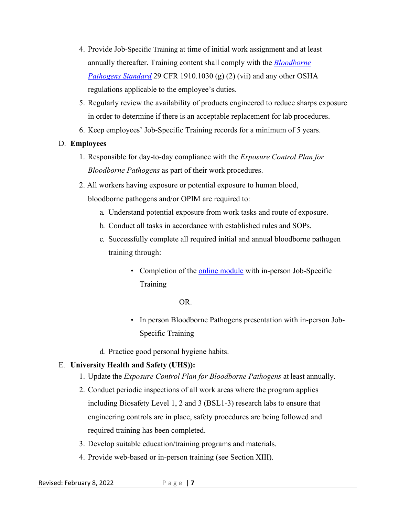- 4. Provide Job-Specific Training at time of initial work assignment and at least annually thereafter. Training content shall comply with the *[Bloodborne](https://www.osha.gov/laws-regs/regulations/standardnumber/1910/1910.1030)  [Pathogens Standard](https://www.osha.gov/laws-regs/regulations/standardnumber/1910/1910.1030)* 29 CFR 1910.1030 (g) (2) (vii) and any other OSHA regulations applicable to the employee's duties.
- 5. Regularly review the availability of products engineered to reduce sharps exposure in order to determine if there is an acceptable replacement for lab procedures.
- 6. Keep employees' Job-Specific Training records for a minimum of 5 years.

## D. **Employees**

- 1. Responsible for day-to-day compliance with the *Exposure Control Plan for Bloodborne Pathogens* as part of their work procedures.
- 2. All workers having exposure or potential exposure to human blood, bloodborne pathogens and/or OPIM are required to:
	- a. Understand potential exposure from work tasks and route of exposure.
	- b. Conduct all tasks in accordance with established rules and SOPs.
	- c. Successfully complete all required initial and annual bloodborne pathogen training through:
		- Completion of the online [module](https://bohd.umn.edu/bloodborne-pathogens-training-courses) with in-person Job-Specific **Training**

OR.

- In person Bloodborne Pathogens presentation with in-person Job-Specific Training
- d. Practice good personal hygiene habits.

# E. **University Health and Safety (UHS)):**

- 1. Update the *Exposure Control Plan for Bloodborne Pathogens* at least annually.
- 2. Conduct periodic inspections of all work areas where the program applies including Biosafety Level 1, 2 and 3 (BSL1-3) research labs to ensure that engineering controls are in place, safety procedures are being followed and required training has been completed.
- 3. Develop suitable education/training programs and materials.
- 4. Provide web-based or in-person training (see Section XIII).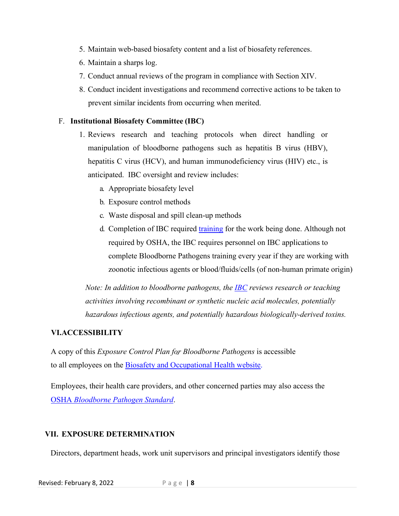- 5. Maintain web-based biosafety content and a list of biosafety references.
- 6. Maintain a sharps log.
- 7. Conduct annual reviews of the program in compliance with Section XIV.
- 8. Conduct incident investigations and recommend corrective actions to be taken to prevent similar incidents from occurring when merited.

#### F. **Institutional Biosafety Committee (IBC)**

- 1. Reviews research and teaching protocols when direct handling or manipulation of bloodborne pathogens such as hepatitis B virus (HBV), hepatitis C virus (HCV), and human immunodeficiency virus (HIV) etc., is anticipated. IBC oversight and review includes:
	- a. Appropriate biosafety level
	- b. Exposure control methods
	- c. Waste disposal and spill clean-up methods
	- d. Completion of IBC required [training](https://research.umn.edu/units/obao/training-education/ibc-training-educational-resources) for the work being done. Although not required by OSHA, the IBC requires personnel on IBC applications to complete Bloodborne Pathogens training every year if they are working with zoonotic infectious agents or blood/fluids/cells (of non-human primate origin)

*Note: In addition to bloodborne pathogens, the [IBC](https://research.umn.edu/units/obao/institutional-biosafety-committee/ibc-overview) reviews research or teaching activities involving recombinant or synthetic nucleic acid molecules, potentially hazardous infectious agents, and potentially hazardous biologically-derived toxins.*

#### <span id="page-7-0"></span>**VI.ACCESSIBILITY**

A copy of this *Exposure Control Plan for Bloodborne Pathogens* is accessible to all employees on the [Biosafety and Occupational Health website.](https://bohd.umn.edu/bloodborne-pathogen-exposure-program)

Employees, their health care providers, and other concerned parties may also access the OSHA *[Bloodborne Pathogen Standard](https://www.osha.gov/laws-regs/regulations/standardnumber/1910/1910.1030)*.

#### <span id="page-7-1"></span>**VII. EXPOSURE DETERMINATION**

Directors, department heads, work unit supervisors and principal investigators identify those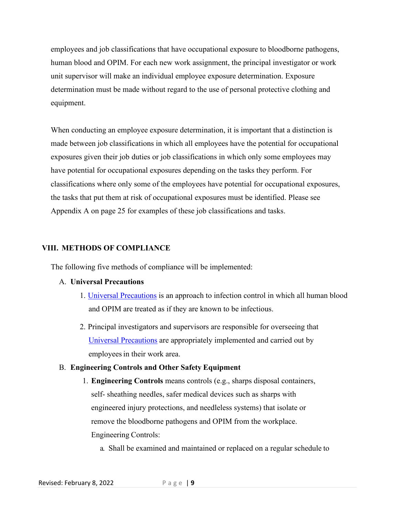employees and job classifications that have occupational exposure to bloodborne pathogens, human blood and OPIM. For each new work assignment, the principal investigator or work unit supervisor will make an individual employee exposure determination. Exposure determination must be made without regard to the use of personal protective clothing and equipment.

When conducting an employee exposure determination, it is important that a distinction is made between job classifications in which all employees have the potential for occupational exposures given their job duties or job classifications in which only some employees may have potential for occupational exposures depending on the tasks they perform. For classifications where only some of the employees have potential for occupational exposures, the tasks that put them at risk of occupational exposures must be identified. Please see Appendix A on page 25 for examples of these job classifications and tasks.

#### <span id="page-8-0"></span>**VIII. METHODS OF COMPLIANCE**

The following five methods of compliance will be implemented:

#### A. **Universal Precautions**

- 1. [Universal Precautions](https://www.osha.gov/bloodborne-pathogens/worker-protections) is an approach to infection control in which all human blood and OPIM are treated as if they are known to be infectious.
- 2. Principal investigators and supervisors are responsible for overseeing that [Universal Precautions](https://www.osha.gov/bloodborne-pathogens/worker-protections) are appropriately implemented and carried out by employees in their work area.

#### B. **Engineering Controls and Other Safety Equipment**

1. **Engineering Controls** means controls (e.g., sharps disposal containers, self- sheathing needles, safer medical devices such as sharps with engineered injury protections, and needleless systems) that isolate or remove the bloodborne pathogens and OPIM from the workplace. Engineering Controls:

a. Shall be examined and maintained or replaced on a regular schedule to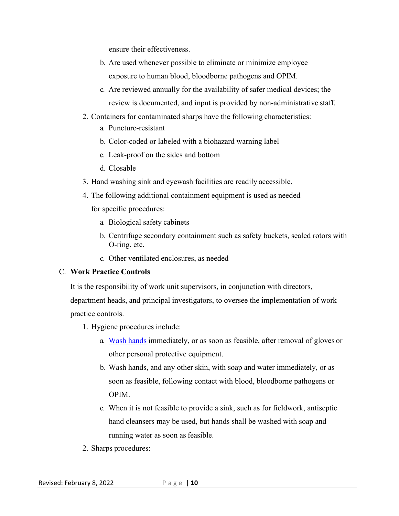ensure their effectiveness.

- b. Are used whenever possible to eliminate or minimize employee exposure to human blood, bloodborne pathogens and OPIM.
- c. Are reviewed annually for the availability of safer medical devices; the review is documented, and input is provided by non-administrative staff.
- 2. Containers for contaminated sharps have the following characteristics:
	- a. Puncture-resistant
	- b. Color-coded or labeled with a biohazard warning label
	- c. Leak-proof on the sides and bottom
	- d. Closable
- 3. Hand washing sink and eyewash facilities are readily accessible.
- 4. The following additional containment equipment is used as needed for specific procedures:
	- a. Biological safety cabinets
	- b. Centrifuge secondary containment such as safety buckets, sealed rotors with O-ring, etc.
	- c. Other ventilated enclosures, as needed

#### C. **Work Practice Controls**

It is the responsibility of work unit supervisors, in conjunction with directors,

department heads, and principal investigators, to oversee the implementation of work practice controls.

- 1. Hygiene procedures include:
	- a. [Wash hands](https://www.cdc.gov/handwashing/when-how-handwashing.html) immediately, or as soon as feasible, after removal of gloves or other personal protective equipment.
	- b. Wash hands, and any other skin, with soap and water immediately, or as soon as feasible, following contact with blood, bloodborne pathogens or OPIM.
	- c. When it is not feasible to provide a sink, such as for fieldwork, antiseptic hand cleansers may be used, but hands shall be washed with soap and running water as soon as feasible.
- 2. Sharps procedures: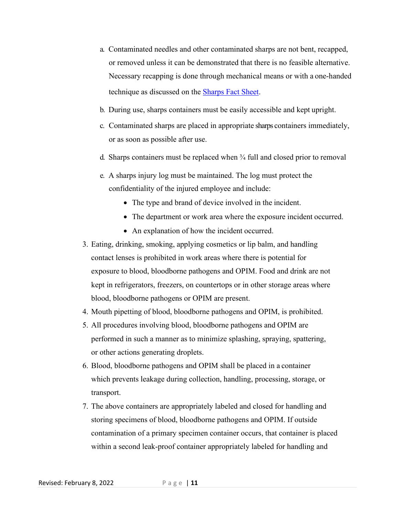- a. Contaminated needles and other contaminated sharps are not bent, recapped, or removed unless it can be demonstrated that there is no feasible alternative. Necessary recapping is done through mechanical means or with a one-handed technique as discussed on the [Sharps Fact Sheet.](https://dehs.umn.edu/sites/dehs.umn.edu/files/fs_sharps_and_glassware_dec_19_ts_lrs.pdf)
- b. During use, sharps containers must be easily accessible and kept upright.
- c. Contaminated sharps are placed in appropriate sharps containers immediately, or as soon as possible after use.
- d. Sharps containers must be replaced when ¾ full and closed prior to removal
- e. A sharps injury log must be maintained. The log must protect the confidentiality of the injured employee and include:
	- The type and brand of device involved in the incident.
	- The department or work area where the exposure incident occurred.
	- An explanation of how the incident occurred.
- 3. Eating, drinking, smoking, applying cosmetics or lip balm, and handling contact lenses is prohibited in work areas where there is potential for exposure to blood, bloodborne pathogens and OPIM. Food and drink are not kept in refrigerators, freezers, on countertops or in other storage areas where blood, bloodborne pathogens or OPIM are present.
- 4. Mouth pipetting of blood, bloodborne pathogens and OPIM, is prohibited.
- 5. All procedures involving blood, bloodborne pathogens and OPIM are performed in such a manner as to minimize splashing, spraying, spattering, or other actions generating droplets.
- 6. Blood, bloodborne pathogens and OPIM shall be placed in a container which prevents leakage during collection, handling, processing, storage, or transport.
- 7. The above containers are appropriately labeled and closed for handling and storing specimens of blood, bloodborne pathogens and OPIM. If outside contamination of a primary specimen container occurs, that container is placed within a second leak-proof container appropriately labeled for handling and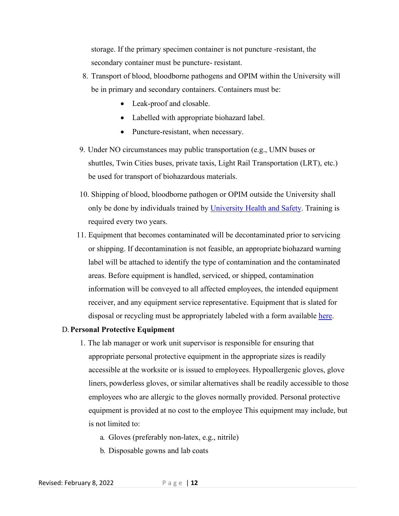storage. If the primary specimen container is not puncture -resistant, the secondary container must be puncture- resistant.

- 8. Transport of blood, bloodborne pathogens and OPIM within the University will be in primary and secondary containers. Containers must be:
	- Leak-proof and closable.
	- Labelled with appropriate biohazard label.
	- Puncture-resistant, when necessary.
- 9. Under NO circumstances may public transportation (e.g., UMN buses or shuttles, Twin Cities buses, private taxis, Light Rail Transportation (LRT), etc.) be used for transport of biohazardous materials.
- 10. Shipping of blood, bloodborne pathogen or OPIM outside the University shall only be done by individuals trained by [University Health and Safety.](https://dehs.umn.edu/hazardous-materials-shipping) Training is required every two years.
- 11. Equipment that becomes contaminated will be decontaminated prior to servicing or shipping. If decontamination is not feasible, an appropriate biohazard warning label will be attached to identify the type of contamination and the contaminated areas. Before equipment is handled, serviced, or shipped, contamination information will be conveyed to all affected employees, the intended equipment receiver, and any equipment service representative. Equipment that is slated for disposal or recycling must be appropriately labeled with a form available [here.](https://dehs.umn.edu/sites/dehs.umn.edu/files/reuse_program_pickup_form_june-2016.pdf)

#### D.**Personal Protective Equipment**

- 1. The lab manager or work unit supervisor is responsible for ensuring that appropriate personal protective equipment in the appropriate sizes is readily accessible at the worksite or is issued to employees. Hypoallergenic gloves, glove liners, powderless gloves, or similar alternatives shall be readily accessible to those employees who are allergic to the gloves normally provided. Personal protective equipment is provided at no cost to the employee This equipment may include, but is not limited to:
	- a. Gloves (preferably non-latex, e.g., nitrile)
	- b. Disposable gowns and lab coats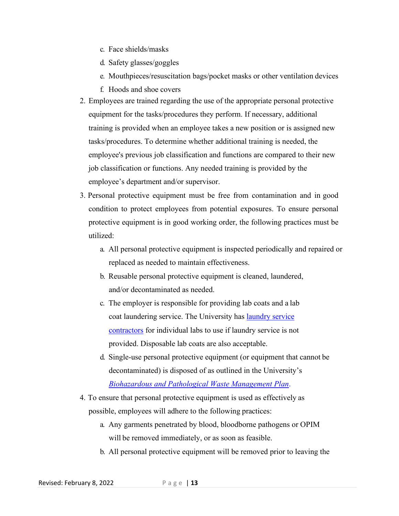- c. Face shields/masks
- d. Safety glasses/goggles
- e. Mouthpieces/resuscitation bags/pocket masks or other ventilation devices
- f. Hoods and shoe covers
- 2. Employees are trained regarding the use of the appropriate personal protective equipment for the tasks/procedures they perform. If necessary, additional training is provided when an employee takes a new position or is assigned new tasks/procedures. To determine whether additional training is needed, the employee's previous job classification and functions are compared to their new job classification or functions. Any needed training is provided by the employee's department and/or supervisor.
- 3. Personal protective equipment must be free from contamination and in good condition to protect employees from potential exposures. To ensure personal protective equipment is in good working order, the following practices must be utilized:
	- a. All personal protective equipment is inspected periodically and repaired or replaced as needed to maintain effectiveness.
	- b. Reusable personal protective equipment is cleaned, laundered, and/or decontaminated as needed.
	- c. The employer is responsible for providing lab coats and a lab coat laundering service. The University has [laundry service](http://uwidecontracts.umn.edu/)  [contractors](http://uwidecontracts.umn.edu/) for individual labs to use if laundry service is not provided. Disposable lab coats are also acceptable.
	- d. Single-use personal protective equipment (or equipment that cannot be decontaminated) is disposed of as outlined in the University'[s](https://bohd.umn.edu/sites/bohd.umn.edu/files/biohaz_and_path_waste_mgmt_plan_2020_final.docx) *[Biohazardous and Pathological Waste Management Plan](https://bohd.umn.edu/sites/bohd.umn.edu/files/biohaz_and_path_waste_mgmt_plan_2020_final.docx)*.
- 4. To ensure that personal protective equipment is used as effectively as possible, employees will adhere to the following practices:
	- a. Any garments penetrated by blood, bloodborne pathogens or OPIM will be removed immediately, or as soon as feasible.
	- b. All personal protective equipment will be removed prior to leaving the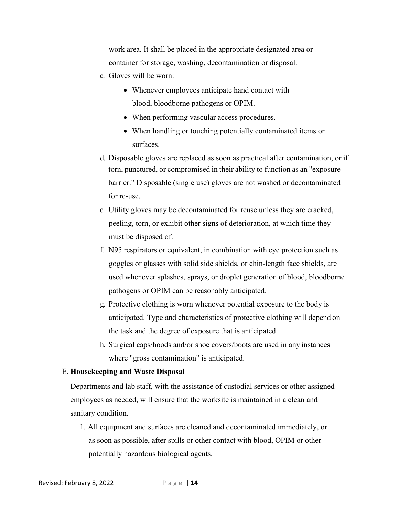work area. It shall be placed in the appropriate designated area or container for storage, washing, decontamination or disposal.

- c. Gloves will be worn:
	- Whenever employees anticipate hand contact with blood, bloodborne pathogens or OPIM.
	- When performing vascular access procedures.
	- When handling or touching potentially contaminated items or surfaces.
- d. Disposable gloves are replaced as soon as practical after contamination, or if torn, punctured, or compromised in their ability to function as an "exposure barrier." Disposable (single use) gloves are not washed or decontaminated for re-use.
- e. Utility gloves may be decontaminated for reuse unless they are cracked, peeling, torn, or exhibit other signs of deterioration, at which time they must be disposed of.
- f. N95 respirators or equivalent, in combination with eye protection such as goggles or glasses with solid side shields, or chin-length face shields, are used whenever splashes, sprays, or droplet generation of blood, bloodborne pathogens or OPIM can be reasonably anticipated.
- g. Protective clothing is worn whenever potential exposure to the body is anticipated. Type and characteristics of protective clothing will depend on the task and the degree of exposure that is anticipated.
- h. Surgical caps/hoods and/or shoe covers/boots are used in any instances where "gross contamination" is anticipated.

#### E. **Housekeeping and Waste Disposal**

Departments and lab staff, with the assistance of custodial services or other assigned employees as needed, will ensure that the worksite is maintained in a clean and sanitary condition.

1. All equipment and surfaces are cleaned and decontaminated immediately, or as soon as possible, after spills or other contact with blood, OPIM or other potentially hazardous biological agents.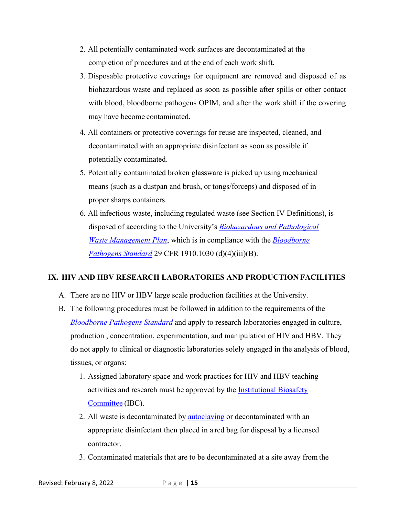- 2. All potentially contaminated work surfaces are decontaminated at the completion of procedures and at the end of each work shift.
- 3. Disposable protective coverings for equipment are removed and disposed of as biohazardous waste and replaced as soon as possible after spills or other contact with blood, bloodborne pathogens OPIM, and after the work shift if the covering may have become contaminated.
- 4. All containers or protective coverings for reuse are inspected, cleaned, and decontaminated with an appropriate disinfectant as soon as possible if potentially contaminated.
- 5. Potentially contaminated broken glassware is picked up using mechanical means (such as a dustpan and brush, or tongs/forceps) and disposed of in proper sharps containers.
- 6. All infectious waste, including regulated waste (see Section IV Definitions), is disposed of according to the University's *[Biohazardous and Pathological](https://bohd.umn.edu/sites/bohd.umn.edu/files/biohaz_and_path_waste_mgmt_plan_2020_final.docx) [Waste](https://bohd.umn.edu/sites/bohd.umn.edu/files/biohaz_and_path_waste_mgmt_plan_2020_final.docx) [Management Plan](http://www.dehs.umn.edu/PDFs/infectwaste-plan.pdf)*, which is in compliance with the *[Bloodborne](https://www.osha.gov/laws-regs/regulations/standardnumber/1910/1910.1030)  [Pathogens](https://www.osha.gov/laws-regs/regulations/standardnumber/1910/1910.1030) [Standard](https://www.osha.gov/pls/oshaweb/owadisp.show_document?p_id=10051&p_table=STANDARDS)* 29 CFR 1910.1030 (d)(4)(iii)(B).

#### <span id="page-14-0"></span>**IX. HIV AND HBV RESEARCH LABORATORIES AND PRODUCTION FACILITIES**

- A. There are no HIV or HBV large scale production facilities at the University.
- B. The following procedures must be followed in addition to the requirements of th[e](https://www.osha.gov/laws-regs/regulations/standardnumber/1910/1910.1030) *[Bloodborne Pathogens Standard](https://www.osha.gov/laws-regs/regulations/standardnumber/1910/1910.1030)* and apply to research laboratories engaged in culture, production , concentration, experimentation, and manipulation of HIV and HBV. They do not apply to clinical or diagnostic laboratories solely engaged in the analysis of blood, tissues, or organs:
	- 1. Assigned laboratory space and work practices for HIV and HBV teaching activities and research must be approved by the **Institutional Biosafety** [Committee](https://research.umn.edu/units/obao/research-oversight-areas/institutional-biosafety-committee-ibc) (IBC).
	- 2. All waste is decontaminated by [autoclaving](https://bohd.umn.edu/autoclaves) or decontaminated with an appropriate disinfectant then placed in a red bag for disposal by a licensed contractor.
	- 3. Contaminated materials that are to be decontaminated at a site away from the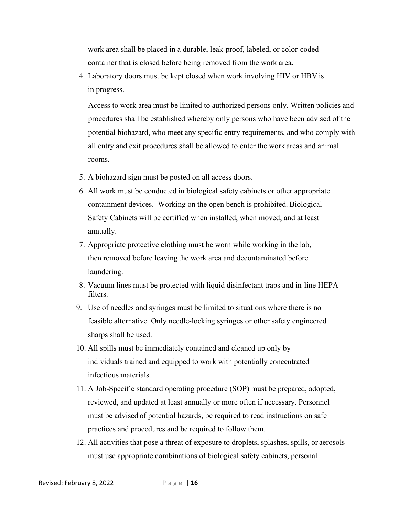work area shall be placed in a durable, leak-proof, labeled, or color-coded container that is closed before being removed from the work area.

4. Laboratory doors must be kept closed when work involving HIV or HBV is in progress.

Access to work area must be limited to authorized persons only. Written policies and procedures shall be established whereby only persons who have been advised of the potential biohazard, who meet any specific entry requirements, and who comply with all entry and exit procedures shall be allowed to enter the work areas and animal rooms.

- 5. A biohazard sign must be posted on all access doors.
- 6. All work must be conducted in biological safety cabinets or other appropriate containment devices. Working on the open bench is prohibited. Biological Safety Cabinets will be certified when installed, when moved, and at least annually.
- 7. Appropriate protective clothing must be worn while working in the lab, then removed before leaving the work area and decontaminated before laundering.
- 8. Vacuum lines must be protected with liquid disinfectant traps and in-line HEPA filters.
- 9. Use of needles and syringes must be limited to situations where there is no feasible alternative. Only needle-locking syringes or other safety engineered sharps shall be used.
- 10. All spills must be immediately contained and cleaned up only by individuals trained and equipped to work with potentially concentrated infectious materials.
- 11. A Job-Specific standard operating procedure (SOP) must be prepared, adopted, reviewed, and updated at least annually or more often if necessary. Personnel must be advised of potential hazards, be required to read instructions on safe practices and procedures and be required to follow them.
- 12. All activities that pose a threat of exposure to droplets, splashes, spills, or aerosols must use appropriate combinations of biological safety cabinets, personal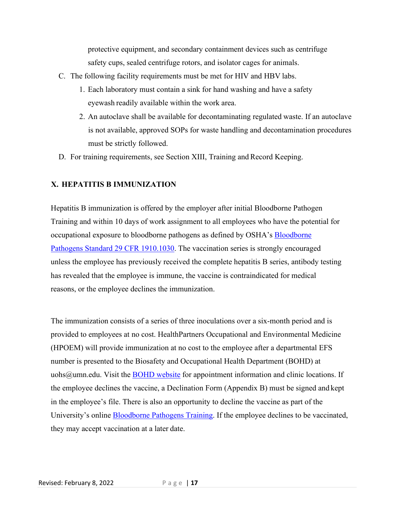protective equipment, and secondary containment devices such as centrifuge safety cups, sealed centrifuge rotors, and isolator cages for animals.

- C. The following facility requirements must be met for HIV and HBV labs.
	- 1. Each laboratory must contain a sink for hand washing and have a safety eyewash readily available within the work area.
	- 2. An autoclave shall be available for decontaminating regulated waste. If an autoclave is not available, approved SOPs for waste handling and decontamination procedures must be strictly followed.
- D. For training requirements, see Section XIII, Training and Record Keeping.

#### <span id="page-16-0"></span>**X. HEPATITIS B IMMUNIZATION**

Hepatitis B immunization is offered by the employer after initial Bloodborne Pathogen Training and within 10 days of work assignment to all employees who have the potential for occupational exposure to bloodborne pathogens as defined by OSHA's [Bloodborne](https://www.osha.gov/laws-regs/regulations/standardnumber/1910/1910.1030)  [Pathogens Standard 29 CFR 1910.1030.](https://www.osha.gov/laws-regs/regulations/standardnumber/1910/1910.1030) The vaccination series is strongly encouraged unless the employee has previously received the complete hepatitis B series, antibody testing has revealed that the employee is immune, the vaccine is contraindicated for medical reasons, or the employee declines the immunization.

The immunization consists of a series of three inoculations over a six-month period and is provided to employees at no cost. HealthPartners Occupational and Environmental Medicine (HPOEM) will provide immunization at no cost to the employee after a departmental EFS number is presented to the Biosafety and Occupational Health Department (BOHD) at [uohs@umn.edu.](mailto:uohs@umn.edu) Visit the [BOHD website](https://bohd.umn.edu/clinical-services) for appointment information and clinic locations. If the employee declines the vaccine, a Declination Form (Appendix B) must be signed and kept in the employee's file. There is also an opportunity to decline the vaccine as part of the University's online **Bloodborne Pathogens Training**. If the employee declines to be vaccinated, they may accept vaccination at a later date.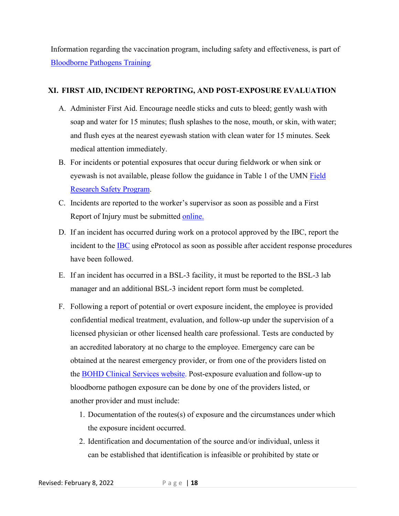Information regarding the vaccination program, including safety and effectiveness, is part of [Bloodborne Pathogens](https://bohd.umn.edu/bloodborne-pathogens-training-courses) Training.

#### <span id="page-17-0"></span>**XI. FIRST AID, INCIDENT REPORTING, AND POST-EXPOSURE EVALUATION**

- A. Administer First Aid. Encourage needle sticks and cuts to bleed; gently wash with soap and water for 15 minutes; flush splashes to the nose, mouth, or skin, with water; and flush eyes at the nearest eyewash station with clean water for 15 minutes. Seek medical attention immediately.
- B. For incidents or potential exposures that occur during fieldwork or when sink or eyewash is not available, please follow the guidance in Table 1 of the UMN [Field](https://dehs.umn.edu/sites/dehs.umn.edu/files/university_of_mn_field_research_safety_program_0.pdf)  [Research Safety Program.](https://dehs.umn.edu/sites/dehs.umn.edu/files/university_of_mn_field_research_safety_program_0.pdf)
- C. Incidents are reported to the worker's supervisor as soon as possible and a First Report of Injury must be submitted [online.](http://controller.umn.edu/riskmgmt/index.html)
- D. If an incident has occurred during work on a protocol approved by the IBC, report the incident to the [IBC](https://research.umn.edu/units/obao/incident-reporting) using eProtocol as soon as possible after accident response procedures have been followed.
- E. If an incident has occurred in a BSL-3 facility, it must be reported to the BSL-3 lab manager and an additional BSL-3 incident report form must be completed.
- F. Following a report of potential or overt exposure incident, the employee is provided confidential medical treatment, evaluation, and follow-up under the supervision of a licensed physician or other licensed health care professional. Tests are conducted by an accredited laboratory at no charge to the employee. Emergency care can be obtained at the nearest emergency provider, or from one of the providers listed on the **BOHD Clinical Services website**. Post-exposure evaluation and follow-up to bloodborne pathogen exposure can be done by one of the providers listed, or another provider and must include:
	- 1. Documentation of the routes(s) of exposure and the circumstances under which the exposure incident occurred.
	- 2. Identification and documentation of the source and/or individual, unless it can be established that identification is infeasible or prohibited by state or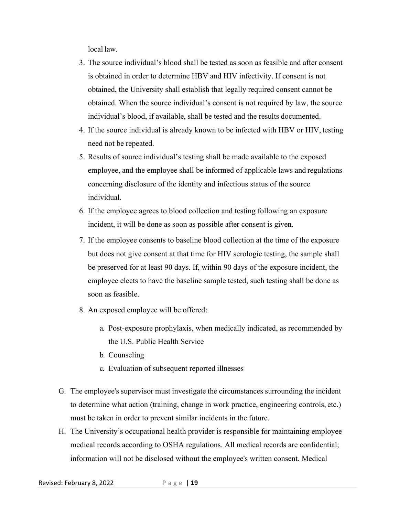local law.

- 3. The source individual's blood shall be tested as soon as feasible and after consent is obtained in order to determine HBV and HIV infectivity. If consent is not obtained, the University shall establish that legally required consent cannot be obtained. When the source individual's consent is not required by law, the source individual's blood, if available, shall be tested and the results documented.
- 4. If the source individual is already known to be infected with HBV or HIV, testing need not be repeated.
- 5. Results of source individual's testing shall be made available to the exposed employee, and the employee shall be informed of applicable laws and regulations concerning disclosure of the identity and infectious status of the source individual.
- 6. If the employee agrees to blood collection and testing following an exposure incident, it will be done as soon as possible after consent is given.
- 7. If the employee consents to baseline blood collection at the time of the exposure but does not give consent at that time for HIV serologic testing, the sample shall be preserved for at least 90 days. If, within 90 days of the exposure incident, the employee elects to have the baseline sample tested, such testing shall be done as soon as feasible.
- 8. An exposed employee will be offered:
	- a. Post-exposure prophylaxis, when medically indicated, as recommended by the U.S. Public Health Service
	- b. Counseling
	- c. Evaluation of subsequent reported illnesses
- G. The employee's supervisor must investigate the circumstances surrounding the incident to determine what action (training, change in work practice, engineering controls, etc.) must be taken in order to prevent similar incidents in the future.
- H. The University's occupational health provider is responsible for maintaining employee medical records according to OSHA regulations. All medical records are confidential; information will not be disclosed without the employee's written consent. Medical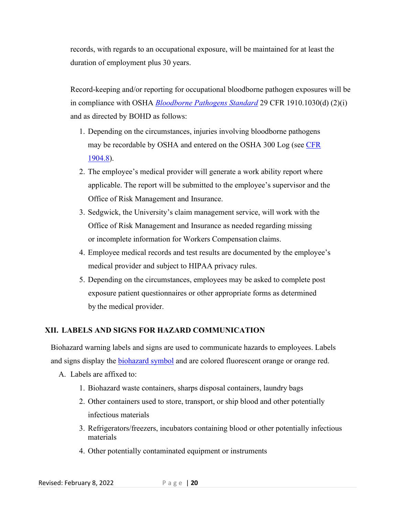records, with regards to an occupational exposure, will be maintained for at least the duration of employment plus 30 years.

Record-keeping and/or reporting for occupational bloodborne pathogen exposures will be in compliance with OSHA *[Bloodborne Pathogens Standard](https://www.osha.gov/laws-regs/regulations/standardnumber/1910/1910.1030)* 29 CFR 1910.1030(d) (2)(i) and as directed by BOHD as follows:

- 1. Depending on the circumstances, injuries involving bloodborne pathogens may be recordable by OSHA and entered on the OSHA 300 Log (see [CFR](https://www.osha.gov/laws-regs/regulations/standardnumber/1904/1904.8#:%7E:text=You%20must%20record%20all%20work,300%20Log%20as%20an%20injury.)  [1904.8\)](https://www.osha.gov/laws-regs/regulations/standardnumber/1904/1904.8#:%7E:text=You%20must%20record%20all%20work,300%20Log%20as%20an%20injury.).
- 2. The employee's medical provider will generate a work ability report where applicable. The report will be submitted to the employee's supervisor and the Office of Risk Management and Insurance.
- 3. Sedgwick, the University's claim management service, will work with the Office of Risk Management and Insurance as needed regarding missing or incomplete information for Workers Compensation claims.
- 4. Employee medical records and test results are documented by the employee's medical provider and subject to HIPAA privacy rules.
- 5. Depending on the circumstances, employees may be asked to complete post exposure patient questionnaires or other appropriate forms as determined by the medical provider.

#### <span id="page-19-0"></span>**XII. LABELS AND SIGNS FOR HAZARD COMMUNICATION**

Biohazard warning labels and signs are used to communicate hazards to employees. Labels and signs display the **biohazard** symbol and are colored fluorescent orange or orange red.

- A. Labels are affixed to:
	- 1. Biohazard waste containers, sharps disposal containers, laundry bags
	- 2. Other containers used to store, transport, or ship blood and other potentially infectious materials
	- 3. Refrigerators/freezers, incubators containing blood or other potentially infectious materials
	- 4. Other potentially contaminated equipment or instruments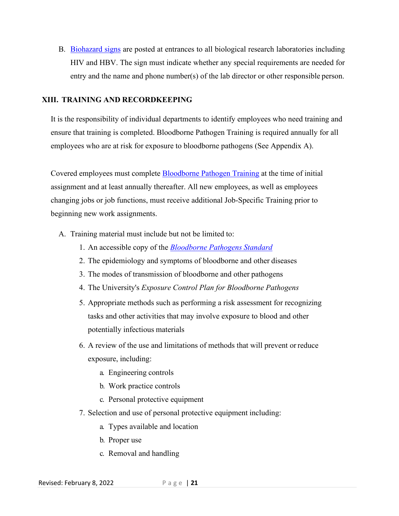B. [Biohazard signs](https://dehs.umn.edu/23-signage) are posted at entrances to all biological research laboratories including HIV and HBV. The sign must indicate whether any special requirements are needed for entry and the name and phone number(s) of the lab director or other responsible person.

#### <span id="page-20-0"></span>**XIII. TRAINING AND RECORDKEEPING**

It is the responsibility of individual departments to identify employees who need training and ensure that training is completed. Bloodborne Pathogen Training is required annually for all employees who are at risk for exposure to bloodborne pathogens (See Appendix A).

Covered employees must complete [Bloodborne Pathogen Training](https://bohd.umn.edu/bloodborne-pathogens-training-courses) at the time of initial assignment and at least annually thereafter. All new employees, as well as employees changing jobs or job functions, must receive additional Job-Specific Training prior to beginning new work assignments.

- A. Training material must include but not be limited to:
	- 1. An accessible copy of the *[Bloodborne Pathogens](https://www.osha.gov/laws-regs/regulations/standardnumber/1910/1910.1030) Standard*
	- 2. The epidemiology and symptoms of bloodborne and other diseases
	- 3. The modes of transmission of bloodborne and other pathogens
	- 4. The University's *Exposure Control Plan for Bloodborne Pathogens*
	- 5. Appropriate methods such as performing a risk assessment for recognizing tasks and other activities that may involve exposure to blood and other potentially infectious materials
	- 6. A review of the use and limitations of methods that will prevent or reduce exposure, including:
		- a. Engineering controls
		- b. Work practice controls
		- c. Personal protective equipment
	- 7. Selection and use of personal protective equipment including:
		- a. Types available and location
		- b. Proper use
		- c. Removal and handling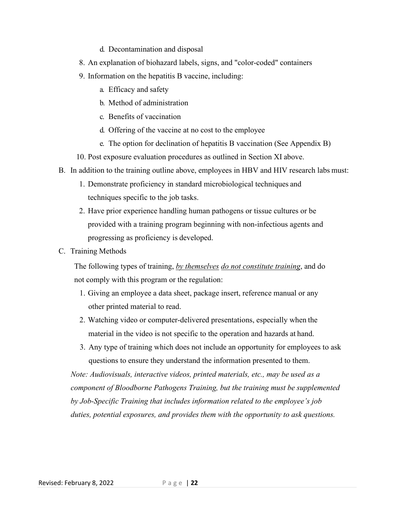- d. Decontamination and disposal
- 8. An explanation of biohazard labels, signs, and "color-coded" containers
- 9. Information on the hepatitis B vaccine, including:
	- a. Efficacy and safety
	- b. Method of administration
	- c. Benefits of vaccination
	- d. Offering of the vaccine at no cost to the employee
	- e. The option for declination of hepatitis B vaccination (See Appendix B)
- 10. Post exposure evaluation procedures as outlined in Section XI above.
- B. In addition to the training outline above, employees in HBV and HIV research labs must:
	- 1. Demonstrate proficiency in standard microbiological techniques and techniques specific to the job tasks.
	- 2. Have prior experience handling human pathogens or tissue cultures or be provided with a training program beginning with non-infectious agents and progressing as proficiency is developed.
- C. Training Methods

The following types of training, *by themselves do not constitute training*, and do not comply with this program or the regulation:

- 1. Giving an employee a data sheet, package insert, reference manual or any other printed material to read.
- 2. Watching video or computer-delivered presentations, especially when the material in the video is not specific to the operation and hazards at hand.
- 3. Any type of training which does not include an opportunity for employees to ask questions to ensure they understand the information presented to them.

*Note: Audiovisuals, interactive videos, printed materials, etc., may be used as a component of Bloodborne Pathogens Training, but the training must be supplemented by Job-Specific Training that includes information related to the employee's job duties, potential exposures, and provides them with the opportunity to ask questions.*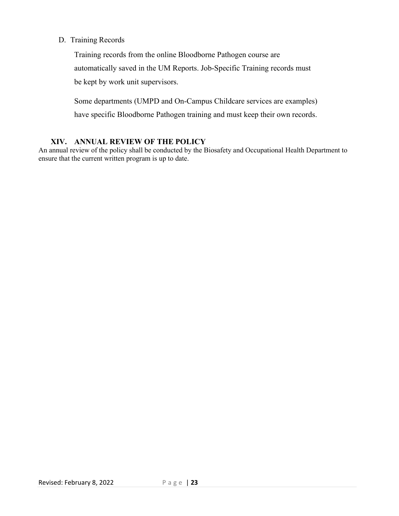D. Training Records

Training records from the online Bloodborne Pathogen course are automatically saved in the UM Reports. Job-Specific Training records must be kept by work unit supervisors.

Some departments (UMPD and On-Campus Childcare services are examples) have specific Bloodborne Pathogen training and must keep their own records.

#### **XIV. ANNUAL REVIEW OF THE POLICY**

<span id="page-22-0"></span>An annual review of the policy shall be conducted by the Biosafety and Occupational Health Department to ensure that the current written program is up to date.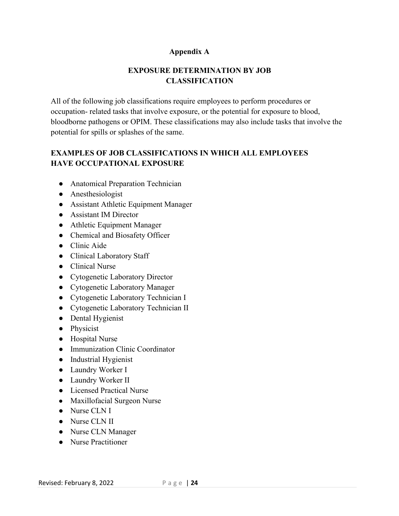#### **Appendix A**

# **EXPOSURE DETERMINATION BY JOB CLASSIFICATION**

<span id="page-23-0"></span>All of the following job classifications require employees to perform procedures or occupation- related tasks that involve exposure, or the potential for exposure to blood, bloodborne pathogens or OPIM. These classifications may also include tasks that involve the potential for spills or splashes of the same.

# <span id="page-23-1"></span>**EXAMPLES OF JOB CLASSIFICATIONS IN WHICH ALL EMPLOYEES HAVE OCCUPATIONAL EXPOSURE**

- Anatomical Preparation Technician
- Anesthesiologist
- Assistant Athletic Equipment Manager
- Assistant IM Director
- Athletic Equipment Manager
- Chemical and Biosafety Officer
- Clinic Aide
- Clinical Laboratory Staff
- Clinical Nurse
- Cytogenetic Laboratory Director
- Cytogenetic Laboratory Manager
- Cytogenetic Laboratory Technician I
- Cytogenetic Laboratory Technician II
- Dental Hygienist
- Physicist
- Hospital Nurse
- Immunization Clinic Coordinator
- Industrial Hygienist
- Laundry Worker I
- Laundry Worker II
- Licensed Practical Nurse
- Maxillofacial Surgeon Nurse
- Nurse CLN I
- Nurse CLN II
- Nurse CLN Manager
- Nurse Practitioner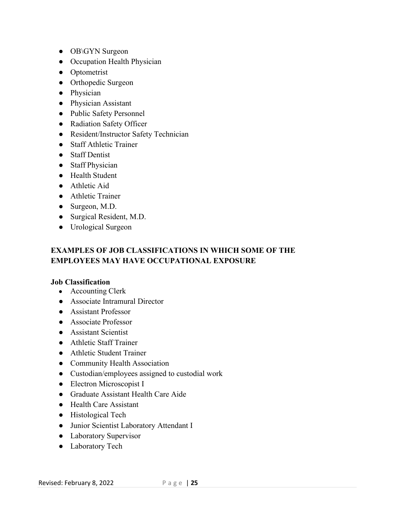- OB\GYN Surgeon
- Occupation Health Physician
- Optometrist
- Orthopedic Surgeon
- Physician
- Physician Assistant
- Public Safety Personnel
- Radiation Safety Officer
- Resident/Instructor Safety Technician
- Staff Athletic Trainer
- Staff Dentist
- Staff Physician
- Health Student
- Athletic Aid
- Athletic Trainer
- Surgeon, M.D.
- Surgical Resident, M.D.
- Urological Surgeon

# <span id="page-24-0"></span>**EXAMPLES OF JOB CLASSIFICATIONS IN WHICH SOME OF THE EMPLOYEES MAY HAVE OCCUPATIONAL EXPOSURE**

#### **Job Classification**

- Accounting Clerk
- Associate Intramural Director
- Assistant Professor
- Associate Professor
- Assistant Scientist
- Athletic Staff Trainer
- Athletic Student Trainer
- Community Health Association
- Custodian/employees assigned to custodial work
- Electron Microscopist I
- Graduate Assistant Health Care Aide
- Health Care Assistant
- Histological Tech
- Junior Scientist Laboratory Attendant I
- Laboratory Supervisor
- Laboratory Tech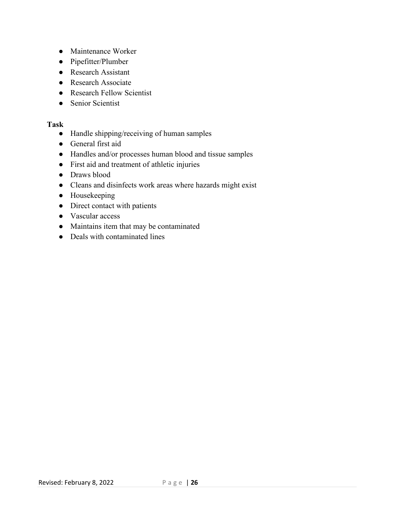- Maintenance Worker
- Pipefitter/Plumber
- Research Assistant
- Research Associate
- Research Fellow Scientist
- Senior Scientist

#### <span id="page-25-0"></span>**Task**

- Handle shipping/receiving of human samples
- General first aid
- Handles and/or processes human blood and tissue samples
- First aid and treatment of athletic injuries
- Draws blood
- Cleans and disinfects work areas where hazards might exist
- Housekeeping
- Direct contact with patients
- Vascular access
- Maintains item that may be contaminated
- Deals with contaminated lines